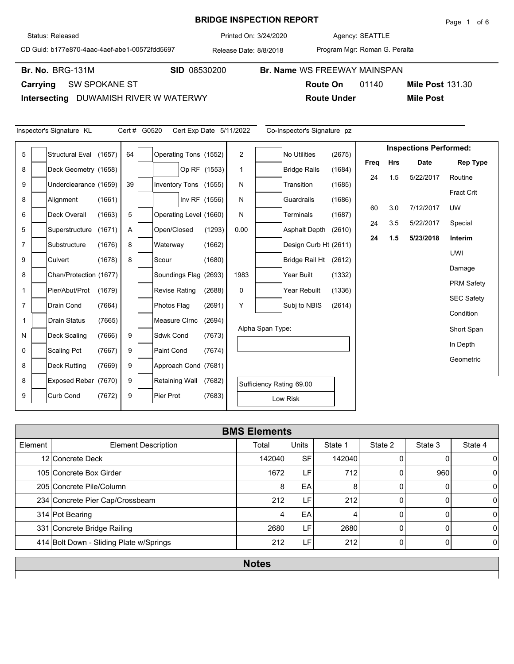## **BRIDGE INSPECTION REPORT**

Agency: 3/24/2020 SEATTLE

**Route On** 01140

CD Guid: b177e870-4aac-4aef-abe1-00572fdd5697

Release Date: 8/8/2018 Printed On:

**Br. No. SID** 08530200 **Br. Name** WS FREEWAY MAINSPAN

Br. No. BRG-131M

**Carrying** SW SPOKANE ST

**Intersecting** DUWAMISH RIVER W WATERWY

|                | Inspector's Signature KL |        | Cert # G0520 |                        |               | Cert Exp Date 5/11/2022 |                  | Co-Inspector's Signature pz |        |           |            |                               |                   |
|----------------|--------------------------|--------|--------------|------------------------|---------------|-------------------------|------------------|-----------------------------|--------|-----------|------------|-------------------------------|-------------------|
| 5              | <b>Structural Eval</b>   | (1657) | 64           | Operating Tons (1552)  |               | $\overline{2}$          |                  | <b>No Utilities</b>         | (2675) |           |            | <b>Inspections Performed:</b> |                   |
|                | Deck Geometry (1658)     |        |              |                        |               | $\mathbf 1$             |                  |                             | (1684) | Freq      | <b>Hrs</b> | <b>Date</b>                   | <b>Rep Type</b>   |
| 8              |                          |        |              |                        | Op RF (1553)  |                         |                  | <b>Bridge Rails</b>         |        | 24        | 1.5        | 5/22/2017                     | Routine           |
| 9              | Underclearance (1659)    |        | 39           | Inventory Tons (1555)  |               | N                       |                  | Transition                  | (1685) |           |            |                               | Fract Crit        |
| 8              | Alignment                | (1661) |              |                        | Inv RF (1556) | N                       |                  | Guardrails                  | (1686) |           |            |                               |                   |
| 6              | <b>Deck Overall</b>      | (1663) | 5            | Operating Level (1660) |               | N                       |                  | Terminals                   | (1687) | 60        | 3.0        | 7/12/2017                     | <b>UW</b>         |
| 5              | Superstructure           | (1671) | Α            | Open/Closed            | (1293)        | 0.00                    |                  | <b>Asphalt Depth</b>        | (2610) | 24        | 3.5        | 5/22/2017                     | Special           |
| $\overline{7}$ | Substructure             | (1676) | 8            | Waterway               | (1662)        |                         |                  | Design Curb Ht (2611)       |        | <u>24</u> | 1.5        | 5/23/2018                     | Interim           |
|                |                          |        |              |                        |               |                         |                  |                             |        |           |            |                               | <b>UWI</b>        |
| 9              | Culvert                  | (1678) | 8            | Scour                  | (1680)        |                         |                  | <b>Bridge Rail Ht</b>       | (2612) |           |            |                               | Damage            |
| 8              | Chan/Protection (1677)   |        |              | Soundings Flag (2693)  |               | 1983                    |                  | Year Built                  | (1332) |           |            |                               | <b>PRM Safety</b> |
|                | Pier/Abut/Prot           | (1679) |              | <b>Revise Rating</b>   | (2688)        | 0                       |                  | Year Rebuilt                | (1336) |           |            |                               |                   |
| $\overline{7}$ | Drain Cond               | (7664) |              | Photos Flag            | (2691)        | Y                       |                  | Subj to NBIS                | (2614) |           |            |                               | <b>SEC Safety</b> |
| 1              | <b>Drain Status</b>      | (7665) |              | Measure CIrnc          | (2694)        |                         |                  |                             |        |           |            |                               | Condition         |
|                |                          |        |              |                        |               |                         | Alpha Span Type: |                             |        |           |            |                               | Short Span        |
| N              | <b>Deck Scaling</b>      | (7666) | 9            | Sdwk Cond              | (7673)        |                         |                  |                             |        |           |            |                               | In Depth          |
| $\mathbf 0$    | <b>Scaling Pct</b>       | (7667) | 9            | Paint Cond             | (7674)        |                         |                  |                             |        |           |            |                               | Geometric         |
| 8              | <b>Deck Rutting</b>      | (7669) | 9            | Approach Cond (7681)   |               |                         |                  |                             |        |           |            |                               |                   |
| 8              | Exposed Rebar (7670)     |        | 9            | Retaining Wall         | (7682)        |                         |                  | Sufficiency Rating 69.00    |        |           |            |                               |                   |
| 9              | <b>Curb Cond</b>         | (7672) | 9            | Pier Prot              | (7683)        |                         |                  | Low Risk                    |        |           |            |                               |                   |

| <b>BMS Elements</b> |                                         |        |              |         |         |         |                |  |  |  |  |
|---------------------|-----------------------------------------|--------|--------------|---------|---------|---------|----------------|--|--|--|--|
| Element             | <b>Element Description</b>              | Total  | <b>Units</b> | State 1 | State 2 | State 3 | State 4        |  |  |  |  |
|                     | 12 Concrete Deck                        | 142040 | <b>SF</b>    | 142040  |         |         | 0              |  |  |  |  |
|                     | 105 Concrete Box Girder                 | 1672   | LF'          | 712     |         | 960     | 0              |  |  |  |  |
|                     | 205 Concrete Pile/Column                |        | EA           | 8       |         |         | $\Omega$       |  |  |  |  |
|                     | 234 Concrete Pier Cap/Crossbeam         | 212    | LF           | 212     | U       | C       | $\Omega$       |  |  |  |  |
|                     | 314 Pot Bearing                         |        | EA           | 4       | N       |         | $\Omega$       |  |  |  |  |
|                     | 331 Concrete Bridge Railing             | 2680   | LF           | 2680    |         |         | $\overline{0}$ |  |  |  |  |
|                     | 414 Bolt Down - Sliding Plate w/Springs | 212    | LF'          | 212     |         |         | 0              |  |  |  |  |
|                     |                                         |        |              |         |         |         |                |  |  |  |  |

**Notes**

Program Mgr: Roman G. Peralta

**Route Under Mile Post**

**Mile Post 131.30** 

Status: Released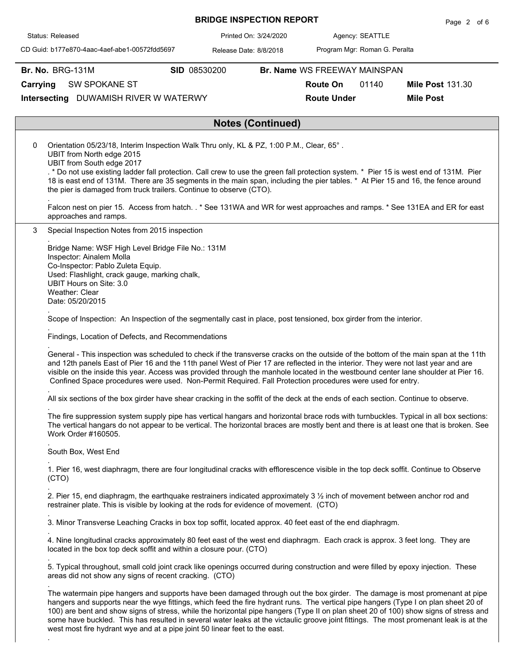|                                                                                                                                                                                                                                                                                                                                                                                                                                                                                                                                                    |              | <b>BRIDGE INSPECTION REPORT</b> |                              |                               | Page 2 of 6             |
|----------------------------------------------------------------------------------------------------------------------------------------------------------------------------------------------------------------------------------------------------------------------------------------------------------------------------------------------------------------------------------------------------------------------------------------------------------------------------------------------------------------------------------------------------|--------------|---------------------------------|------------------------------|-------------------------------|-------------------------|
| Status: Released                                                                                                                                                                                                                                                                                                                                                                                                                                                                                                                                   |              | Printed On: 3/24/2020           | Agency: SEATTLE              |                               |                         |
| CD Guid: b177e870-4aac-4aef-abe1-00572fdd5697                                                                                                                                                                                                                                                                                                                                                                                                                                                                                                      |              | Release Date: 8/8/2018          |                              | Program Mgr: Roman G. Peralta |                         |
| <b>Br. No. BRG-131M</b>                                                                                                                                                                                                                                                                                                                                                                                                                                                                                                                            | SID 08530200 |                                 | Br. Name WS FREEWAY MAINSPAN |                               |                         |
| SW SPOKANE ST<br>Carrying                                                                                                                                                                                                                                                                                                                                                                                                                                                                                                                          |              |                                 | <b>Route On</b>              | 01140                         | <b>Mile Post 131.30</b> |
| Intersecting DUWAMISH RIVER W WATERWY                                                                                                                                                                                                                                                                                                                                                                                                                                                                                                              |              |                                 | <b>Route Under</b>           |                               | <b>Mile Post</b>        |
|                                                                                                                                                                                                                                                                                                                                                                                                                                                                                                                                                    |              |                                 |                              |                               |                         |
|                                                                                                                                                                                                                                                                                                                                                                                                                                                                                                                                                    |              | <b>Notes (Continued)</b>        |                              |                               |                         |
| Orientation 05/23/18, Interim Inspection Walk Thru only, KL & PZ, 1:00 P.M., Clear, 65°.<br>0<br>UBIT from North edge 2015<br>UBIT from South edge 2017<br>. * Do not use existing ladder fall protection. Call crew to use the green fall protection system. * Pier 15 is west end of 131M. Pier<br>18 is east end of 131M. There are 35 segments in the main span, including the pier tables. * At Pier 15 and 16, the fence around<br>the pier is damaged from truck trailers. Continue to observe (CTO).                                       |              |                                 |                              |                               |                         |
| Falcon nest on pier 15. Access from hatch. . * See 131WA and WR for west approaches and ramps. * See 131EA and ER for east<br>approaches and ramps.                                                                                                                                                                                                                                                                                                                                                                                                |              |                                 |                              |                               |                         |
| 3<br>Special Inspection Notes from 2015 inspection                                                                                                                                                                                                                                                                                                                                                                                                                                                                                                 |              |                                 |                              |                               |                         |
| Bridge Name: WSF High Level Bridge File No.: 131M<br>Inspector: Ainalem Molla<br>Co-Inspector: Pablo Zuleta Equip.<br>Used: Flashlight, crack gauge, marking chalk,<br>UBIT Hours on Site: 3.0<br>Weather: Clear<br>Date: 05/20/2015<br>Scope of Inspection: An Inspection of the segmentally cast in place, post tensioned, box girder from the interior.                                                                                                                                                                                         |              |                                 |                              |                               |                         |
| Findings, Location of Defects, and Recommendations                                                                                                                                                                                                                                                                                                                                                                                                                                                                                                 |              |                                 |                              |                               |                         |
| General - This inspection was scheduled to check if the transverse cracks on the outside of the bottom of the main span at the 11th<br>and 12th panels East of Pier 16 and the 11th panel West of Pier 17 are reflected in the interior. They were not last year and are<br>visible on the inside this year. Access was provided through the manhole located in the westbound center lane shoulder at Pier 16.<br>Confined Space procedures were used. Non-Permit Required. Fall Protection procedures were used for entry.                        |              |                                 |                              |                               |                         |
| All six sections of the box girder have shear cracking in the soffit of the deck at the ends of each section. Continue to observe.                                                                                                                                                                                                                                                                                                                                                                                                                 |              |                                 |                              |                               |                         |
| The fire suppression system supply pipe has vertical hangars and horizontal brace rods with turnbuckles. Typical in all box sections:<br>The vertical hangars do not appear to be vertical. The horizontal braces are mostly bent and there is at least one that is broken. See<br>Work Order #160505.                                                                                                                                                                                                                                             |              |                                 |                              |                               |                         |
| South Box, West End                                                                                                                                                                                                                                                                                                                                                                                                                                                                                                                                |              |                                 |                              |                               |                         |
| 1. Pier 16, west diaphragm, there are four longitudinal cracks with efflorescence visible in the top deck soffit. Continue to Observe<br>(CTO)                                                                                                                                                                                                                                                                                                                                                                                                     |              |                                 |                              |                               |                         |
| 2. Pier 15, end diaphragm, the earthquake restrainers indicated approximately 3 1/2 inch of movement between anchor rod and<br>restrainer plate. This is visible by looking at the rods for evidence of movement. (CTO)                                                                                                                                                                                                                                                                                                                            |              |                                 |                              |                               |                         |
| 3. Minor Transverse Leaching Cracks in box top soffit, located approx. 40 feet east of the end diaphragm.                                                                                                                                                                                                                                                                                                                                                                                                                                          |              |                                 |                              |                               |                         |
| 4. Nine longitudinal cracks approximately 80 feet east of the west end diaphragm. Each crack is approx. 3 feet long. They are<br>located in the box top deck soffit and within a closure pour. (CTO)                                                                                                                                                                                                                                                                                                                                               |              |                                 |                              |                               |                         |
| 5. Typical throughout, small cold joint crack like openings occurred during construction and were filled by epoxy injection. These<br>areas did not show any signs of recent cracking. (CTO)                                                                                                                                                                                                                                                                                                                                                       |              |                                 |                              |                               |                         |
| The watermain pipe hangers and supports have been damaged through out the box girder. The damage is most promenant at pipe<br>hangers and supports near the wye fittings, which feed the fire hydrant runs. The vertical pipe hangers (Type I on plan sheet 20 of<br>100) are bent and show signs of stress, while the horizontal pipe hangers (Type II on plan sheet 20 of 100) show signs of stress and<br>some have buckled. This has resulted in several water leaks at the victaulic groove joint fittings. The most promenant leak is at the |              |                                 |                              |                               |                         |

west most fire hydrant wye and at a pipe joint 50 linear feet to the east.

.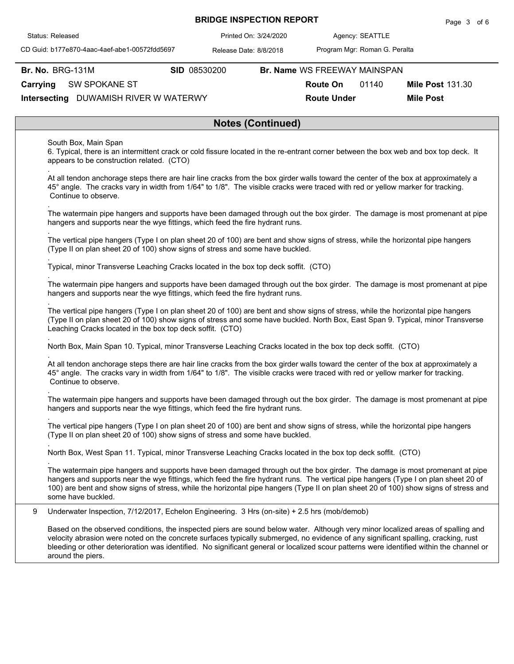|  |  | <b>BRIDGE INSPECTION REPORT</b> |
|--|--|---------------------------------|
|--|--|---------------------------------|

Agency: 3/24/2020 SEATTLE

CD Guid: b177e870-4aac-4aef-abe1-00572fdd5697

Release Date: 8/8/2018 Printed On:

Program Mgr: Roman G. Peralta

**Br. No. BRG-131M** 

.

.

.

.

.

.

.

.

**Br. No. SID** 08530200 **Br. Name** WS FREEWAY MAINSPAN

**Route On** 01140

**Mile Post 131.30** 

**Route Under Mile Post**

**Carrying** SW SPOKANE ST

**Intersecting** DUWAMISH RIVER W WATERWY

## **Notes (Continued)**

South Box, Main Span

6. Typical, there is an intermittent crack or cold fissure located in the re-entrant corner between the box web and box top deck. It appears to be construction related. (CTO)

At all tendon anchorage steps there are hair line cracks from the box girder walls toward the center of the box at approximately a 45° angle. The cracks vary in width from 1/64" to 1/8". The visible cracks were traced with red or yellow marker for tracking. Continue to observe.

The watermain pipe hangers and supports have been damaged through out the box girder. The damage is most promenant at pipe hangers and supports near the wye fittings, which feed the fire hydrant runs.

. The vertical pipe hangers (Type I on plan sheet 20 of 100) are bent and show signs of stress, while the horizontal pipe hangers (Type II on plan sheet 20 of 100) show signs of stress and some have buckled.

Typical, minor Transverse Leaching Cracks located in the box top deck soffit. (CTO)

The watermain pipe hangers and supports have been damaged through out the box girder. The damage is most promenant at pipe hangers and supports near the wye fittings, which feed the fire hydrant runs.

The vertical pipe hangers (Type I on plan sheet 20 of 100) are bent and show signs of stress, while the horizontal pipe hangers (Type II on plan sheet 20 of 100) show signs of stress and some have buckled. North Box, East Span 9. Typical, minor Transverse Leaching Cracks located in the box top deck soffit. (CTO)

. North Box, Main Span 10. Typical, minor Transverse Leaching Cracks located in the box top deck soffit. (CTO)

At all tendon anchorage steps there are hair line cracks from the box girder walls toward the center of the box at approximately a 45° angle. The cracks vary in width from 1/64" to 1/8". The visible cracks were traced with red or yellow marker for tracking. Continue to observe.

. The watermain pipe hangers and supports have been damaged through out the box girder. The damage is most promenant at pipe hangers and supports near the wye fittings, which feed the fire hydrant runs.

. The vertical pipe hangers (Type I on plan sheet 20 of 100) are bent and show signs of stress, while the horizontal pipe hangers (Type II on plan sheet 20 of 100) show signs of stress and some have buckled.

North Box, West Span 11. Typical, minor Transverse Leaching Cracks located in the box top deck soffit. (CTO)

The watermain pipe hangers and supports have been damaged through out the box girder. The damage is most promenant at pipe hangers and supports near the wye fittings, which feed the fire hydrant runs. The vertical pipe hangers (Type I on plan sheet 20 of 100) are bent and show signs of stress, while the horizontal pipe hangers (Type II on plan sheet 20 of 100) show signs of stress and some have buckled.

9 Underwater Inspection, 7/12/2017, Echelon Engineering. 3 Hrs (on-site) + 2.5 hrs (mob/demob)

Based on the observed conditions, the inspected piers are sound below water. Although very minor localized areas of spalling and velocity abrasion were noted on the concrete surfaces typically submerged, no evidence of any significant spalling, cracking, rust bleeding or other deterioration was identified. No significant general or localized scour patterns were identified within the channel or around the piers.

Status: Released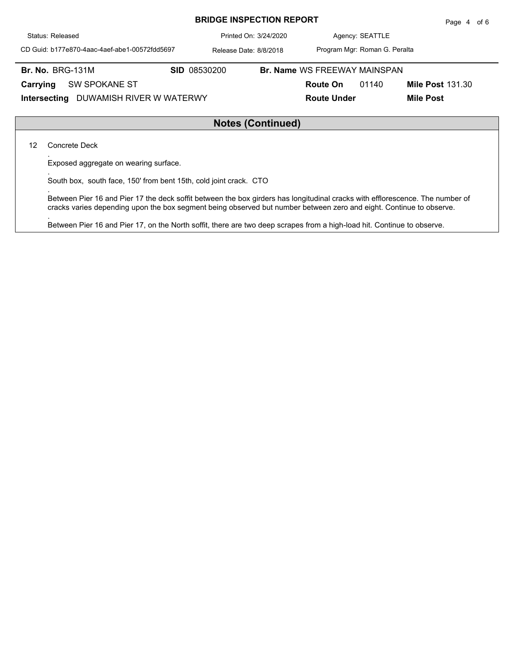| Status: Released                              | Printed On: 3/24/2020  |                                     | Agency: SEATTLE               |                         |  |  |  |  |  |
|-----------------------------------------------|------------------------|-------------------------------------|-------------------------------|-------------------------|--|--|--|--|--|
| CD Guid: b177e870-4aac-4aef-abe1-00572fdd5697 | Release Date: 8/8/2018 |                                     | Program Mgr: Roman G. Peralta |                         |  |  |  |  |  |
| <b>Br. No. BRG-131M</b>                       | <b>SID 08530200</b>    | <b>Br. Name WS FREEWAY MAINSPAN</b> |                               |                         |  |  |  |  |  |
| <b>SW SPOKANE ST</b><br>Carrying              |                        | <b>Route On</b>                     | 01140                         | <b>Mile Post 131.30</b> |  |  |  |  |  |
| DUWAMISH RIVER W WATERWY<br>Intersecting      |                        | <b>Route Under</b>                  |                               | <b>Mile Post</b>        |  |  |  |  |  |
|                                               |                        |                                     |                               |                         |  |  |  |  |  |
| <b>Notes (Continued)</b>                      |                        |                                     |                               |                         |  |  |  |  |  |

**BRIDGE INSPECTION REPORT**

Page 4 of 6

## **Notes (Continued)**

12 Concrete Deck

.

.

.

.

Exposed aggregate on wearing surface.

South box, south face, 150' from bent 15th, cold joint crack. CTO

Between Pier 16 and Pier 17 the deck soffit between the box girders has longitudinal cracks with efflorescence. The number of cracks varies depending upon the box segment being observed but number between zero and eight. Continue to observe.

Between Pier 16 and Pier 17, on the North soffit, there are two deep scrapes from a high-load hit. Continue to observe.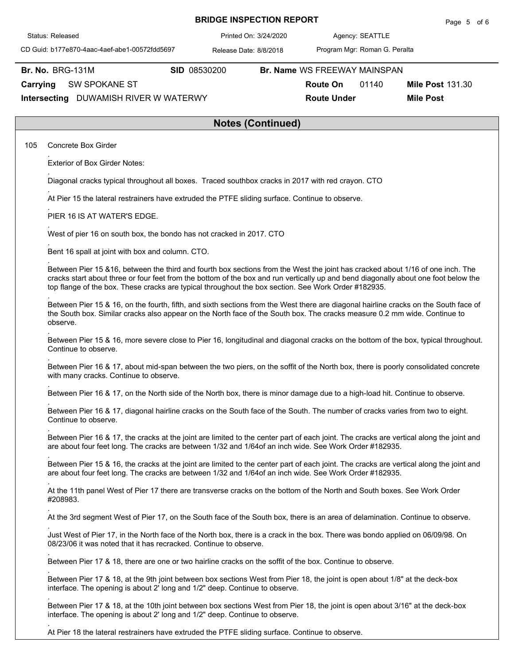| Status: Released                                                                                                                                                                                                                                                                                                                                                             |                                                                                                                              | Printed On: 3/24/2020    |                                                                       | Agency: SEATTLE |                                             |  |  |  |  |  |  |  |
|------------------------------------------------------------------------------------------------------------------------------------------------------------------------------------------------------------------------------------------------------------------------------------------------------------------------------------------------------------------------------|------------------------------------------------------------------------------------------------------------------------------|--------------------------|-----------------------------------------------------------------------|-----------------|---------------------------------------------|--|--|--|--|--|--|--|
| CD Guid: b177e870-4aac-4aef-abe1-00572fdd5697                                                                                                                                                                                                                                                                                                                                |                                                                                                                              | Release Date: 8/8/2018   | Program Mgr: Roman G. Peralta                                         |                 |                                             |  |  |  |  |  |  |  |
| <b>Br. No. BRG-131M</b><br>Carrying<br><b>SW SPOKANE ST</b><br>Intersecting DUWAMISH RIVER W WATERWY                                                                                                                                                                                                                                                                         | SID 08530200                                                                                                                 |                          | Br. Name WS FREEWAY MAINSPAN<br><b>Route On</b><br><b>Route Under</b> | 01140           | <b>Mile Post 131.30</b><br><b>Mile Post</b> |  |  |  |  |  |  |  |
|                                                                                                                                                                                                                                                                                                                                                                              |                                                                                                                              | <b>Notes (Continued)</b> |                                                                       |                 |                                             |  |  |  |  |  |  |  |
| 105<br>Concrete Box Girder                                                                                                                                                                                                                                                                                                                                                   |                                                                                                                              |                          |                                                                       |                 |                                             |  |  |  |  |  |  |  |
| <b>Exterior of Box Girder Notes:</b>                                                                                                                                                                                                                                                                                                                                         |                                                                                                                              |                          |                                                                       |                 |                                             |  |  |  |  |  |  |  |
| Diagonal cracks typical throughout all boxes. Traced southbox cracks in 2017 with red crayon. CTO                                                                                                                                                                                                                                                                            |                                                                                                                              |                          |                                                                       |                 |                                             |  |  |  |  |  |  |  |
| At Pier 15 the lateral restrainers have extruded the PTFE sliding surface. Continue to observe.                                                                                                                                                                                                                                                                              |                                                                                                                              |                          |                                                                       |                 |                                             |  |  |  |  |  |  |  |
| PIER 16 IS AT WATER'S EDGE.                                                                                                                                                                                                                                                                                                                                                  |                                                                                                                              |                          |                                                                       |                 |                                             |  |  |  |  |  |  |  |
| West of pier 16 on south box, the bondo has not cracked in 2017. CTO                                                                                                                                                                                                                                                                                                         |                                                                                                                              |                          |                                                                       |                 |                                             |  |  |  |  |  |  |  |
| Bent 16 spall at joint with box and column. CTO.                                                                                                                                                                                                                                                                                                                             |                                                                                                                              |                          |                                                                       |                 |                                             |  |  |  |  |  |  |  |
| Between Pier 15 &16, between the third and fourth box sections from the West the joint has cracked about 1/16 of one inch. The<br>cracks start about three or four feet from the bottom of the box and run vertically up and bend diagonally about one foot below the<br>top flange of the box. These cracks are typical throughout the box section. See Work Order #182935. |                                                                                                                              |                          |                                                                       |                 |                                             |  |  |  |  |  |  |  |
| Between Pier 15 & 16, on the fourth, fifth, and sixth sections from the West there are diagonal hairline cracks on the South face of<br>the South box. Similar cracks also appear on the North face of the South box. The cracks measure 0.2 mm wide. Continue to<br>observe.                                                                                                |                                                                                                                              |                          |                                                                       |                 |                                             |  |  |  |  |  |  |  |
| Between Pier 15 & 16, more severe close to Pier 16, longitudinal and diagonal cracks on the bottom of the box, typical throughout.<br>Continue to observe.                                                                                                                                                                                                                   |                                                                                                                              |                          |                                                                       |                 |                                             |  |  |  |  |  |  |  |
| Between Pier 16 & 17, about mid-span between the two piers, on the soffit of the North box, there is poorly consolidated concrete<br>with many cracks. Continue to observe.                                                                                                                                                                                                  |                                                                                                                              |                          |                                                                       |                 |                                             |  |  |  |  |  |  |  |
|                                                                                                                                                                                                                                                                                                                                                                              | Between Pier 16 & 17, on the North side of the North box, there is minor damage due to a high-load hit. Continue to observe. |                          |                                                                       |                 |                                             |  |  |  |  |  |  |  |
| Between Pier 16 & 17, diagonal hairline cracks on the South face of the South. The number of cracks varies from two to eight.<br>Continue to observe.                                                                                                                                                                                                                        |                                                                                                                              |                          |                                                                       |                 |                                             |  |  |  |  |  |  |  |
| Between Pier 16 & 17, the cracks at the joint are limited to the center part of each joint. The cracks are vertical along the joint and<br>are about four feet long. The cracks are between 1/32 and 1/64of an inch wide. See Work Order #182935.                                                                                                                            |                                                                                                                              |                          |                                                                       |                 |                                             |  |  |  |  |  |  |  |
| Between Pier 15 & 16, the cracks at the joint are limited to the center part of each joint. The cracks are vertical along the joint and<br>are about four feet long. The cracks are between 1/32 and 1/64of an inch wide. See Work Order #182935.                                                                                                                            |                                                                                                                              |                          |                                                                       |                 |                                             |  |  |  |  |  |  |  |
| At the 11th panel West of Pier 17 there are transverse cracks on the bottom of the North and South boxes. See Work Order<br>#208983.                                                                                                                                                                                                                                         |                                                                                                                              |                          |                                                                       |                 |                                             |  |  |  |  |  |  |  |
| At the 3rd segment West of Pier 17, on the South face of the South box, there is an area of delamination. Continue to observe.                                                                                                                                                                                                                                               |                                                                                                                              |                          |                                                                       |                 |                                             |  |  |  |  |  |  |  |
| Just West of Pier 17, in the North face of the North box, there is a crack in the box. There was bondo applied on 06/09/98. On<br>08/23/06 it was noted that it has recracked. Continue to observe.                                                                                                                                                                          |                                                                                                                              |                          |                                                                       |                 |                                             |  |  |  |  |  |  |  |
| Between Pier 17 & 18, there are one or two hairline cracks on the soffit of the box. Continue to observe.                                                                                                                                                                                                                                                                    |                                                                                                                              |                          |                                                                       |                 |                                             |  |  |  |  |  |  |  |
| Between Pier 17 & 18, at the 9th joint between box sections West from Pier 18, the joint is open about 1/8" at the deck-box<br>interface. The opening is about 2' long and 1/2" deep. Continue to observe.                                                                                                                                                                   |                                                                                                                              |                          |                                                                       |                 |                                             |  |  |  |  |  |  |  |
| Between Pier 17 & 18, at the 10th joint between box sections West from Pier 18, the joint is open about 3/16" at the deck-box<br>interface. The opening is about 2' long and 1/2" deep. Continue to observe.                                                                                                                                                                 |                                                                                                                              |                          |                                                                       |                 |                                             |  |  |  |  |  |  |  |

**BRIDGE INSPECTION REPORT**

Page 5 of 6

At Pier 18 the lateral restrainers have extruded the PTFE sliding surface. Continue to observe.

.